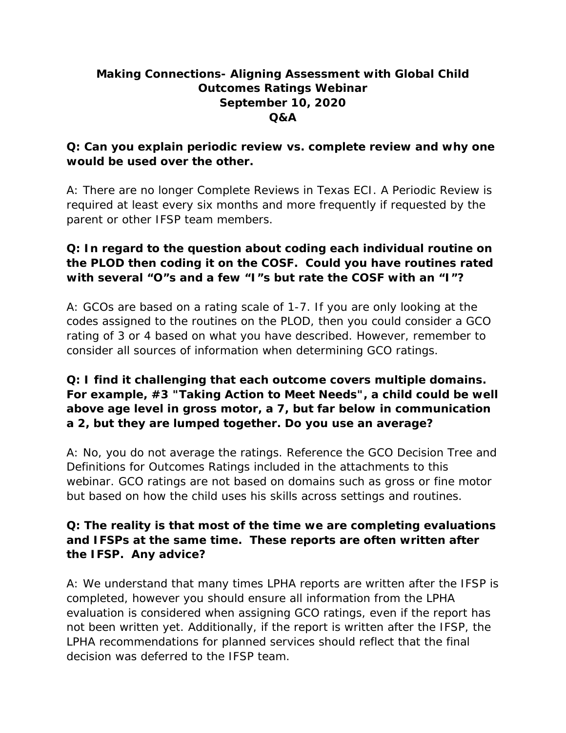# **Making Connections- Aligning Assessment with Global Child Outcomes Ratings Webinar September 10, 2020 Q&A**

### **Q: Can you explain periodic review vs. complete review and why one would be used over the other.**

A: There are no longer Complete Reviews in Texas ECI. A Periodic Review is required at least every six months and more frequently if requested by the parent or other IFSP team members.

## **Q: In regard to the question about coding each individual routine on the PLOD then coding it on the COSF. Could you have routines rated with several "O"s and a few "I"s but rate the COSF with an "I"?**

A: GCOs are based on a rating scale of 1-7. If you are only looking at the codes assigned to the routines on the PLOD, then you could consider a GCO rating of 3 or 4 based on what you have described. However, remember to consider all sources of information when determining GCO ratings.

## **Q: I find it challenging that each outcome covers multiple domains. For example, #3 "Taking Action to Meet Needs", a child could be well above age level in gross motor, a 7, but far below in communication a 2, but they are lumped together. Do you use an average?**

A: No, you do not average the ratings. Reference the GCO Decision Tree and Definitions for Outcomes Ratings included in the attachments to this webinar. GCO ratings are not based on domains such as gross or fine motor but based on how the child uses his skills across settings and routines.

## **Q: The reality is that most of the time we are completing evaluations and IFSPs at the same time. These reports are often written after the IFSP. Any advice?**

A: We understand that many times LPHA reports are written after the IFSP is completed, however you should ensure all information from the LPHA evaluation is considered when assigning GCO ratings, even if the report has not been written yet. Additionally, if the report is written after the IFSP, the LPHA recommendations for planned services should reflect that the final decision was deferred to the IFSP team.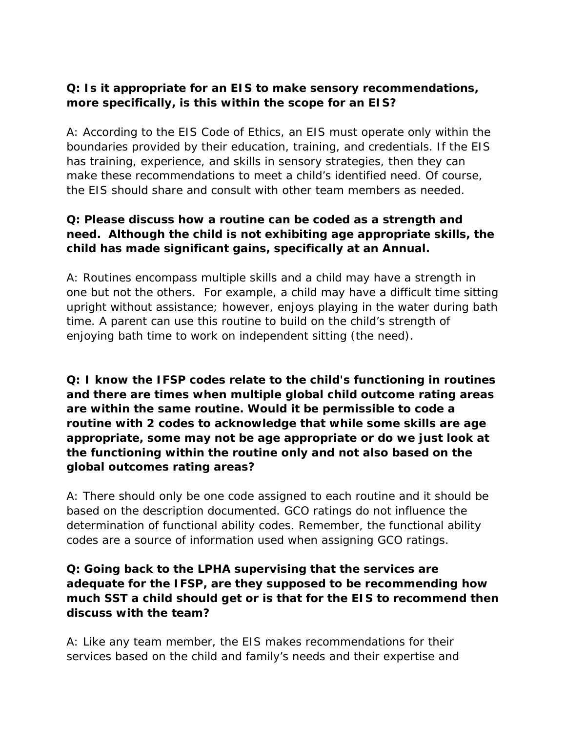### **Q: Is it appropriate for an EIS to make sensory recommendations, more specifically, is this within the scope for an EIS?**

A: According to the EIS Code of Ethics, an EIS must operate only within the boundaries provided by their education, training, and credentials. If the EIS has training, experience, and skills in sensory strategies, then they can make these recommendations to meet a child's identified need. Of course, the EIS should share and consult with other team members as needed.

### **Q: Please discuss how a routine can be coded as a strength and need. Although the child is not exhibiting age appropriate skills, the child has made significant gains, specifically at an Annual.**

A: Routines encompass multiple skills and a child may have a strength in one but not the others. For example, a child may have a difficult time sitting upright without assistance; however, enjoys playing in the water during bath time. A parent can use this routine to build on the child's strength of enjoying bath time to work on independent sitting (the need).

**Q: I know the IFSP codes relate to the child's functioning in routines and there are times when multiple global child outcome rating areas are within the same routine. Would it be permissible to code a routine with 2 codes to acknowledge that while some skills are age appropriate, some may not be age appropriate or do we just look at the functioning within the routine only and not also based on the global outcomes rating areas?**

A: There should only be one code assigned to each routine and it should be based on the description documented. GCO ratings do not influence the determination of functional ability codes. Remember, the functional ability codes are a source of information used when assigning GCO ratings.

### **Q: Going back to the LPHA supervising that the services are adequate for the IFSP, are they supposed to be recommending how much SST a child should get or is that for the EIS to recommend then discuss with the team?**

A: Like any team member, the EIS makes recommendations for their services based on the child and family's needs and their expertise and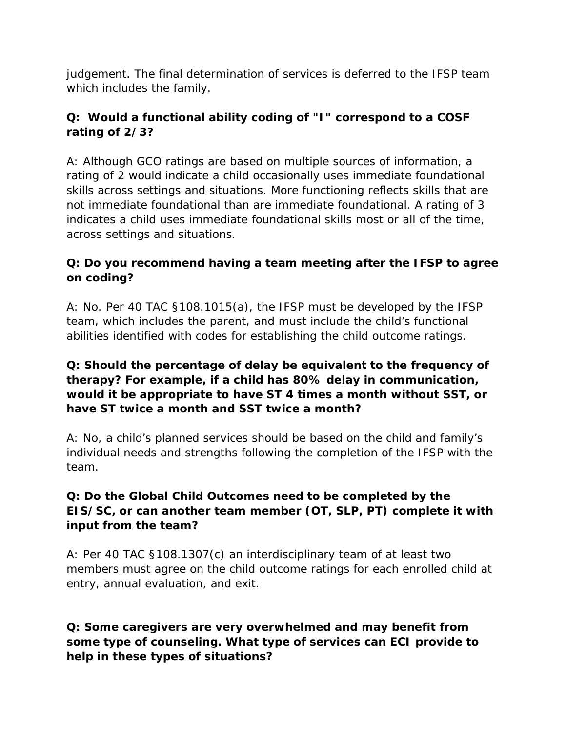judgement. The final determination of services is deferred to the IFSP team which includes the family.

# **Q: Would a functional ability coding of "I" correspond to a COSF rating of 2/3?**

A: Although GCO ratings are based on multiple sources of information, a rating of 2 would indicate a child occasionally uses immediate foundational skills across settings and situations. More functioning reflects skills that are not immediate foundational than are immediate foundational. A rating of 3 indicates a child uses immediate foundational skills most or all of the time, across settings and situations.

# **Q: Do you recommend having a team meeting after the IFSP to agree on coding?**

A: No. Per 40 TAC §108.1015(a), the IFSP must be developed by the IFSP team, which includes the parent, and must include the child's functional abilities identified with codes for establishing the child outcome ratings.

## **Q: Should the percentage of delay be equivalent to the frequency of therapy? For example, if a child has 80% delay in communication, would it be appropriate to have ST 4 times a month without SST, or have ST twice a month and SST twice a month?**

A: No, a child's planned services should be based on the child and family's individual needs and strengths following the completion of the IFSP with the team.

# **Q: Do the Global Child Outcomes need to be completed by the EIS/SC, or can another team member (OT, SLP, PT) complete it with input from the team?**

A: Per 40 TAC §108.1307(c) an interdisciplinary team of at least two members must agree on the child outcome ratings for each enrolled child at entry, annual evaluation, and exit.

### **Q: Some caregivers are very overwhelmed and may benefit from some type of counseling. What type of services can ECI provide to help in these types of situations?**